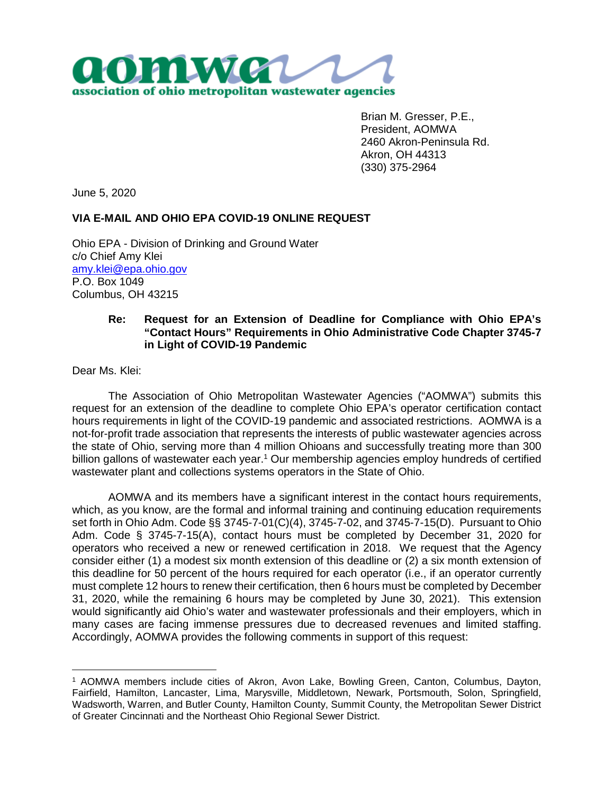

Brian M. Gresser, P.E., President, AOMWA 2460 Akron-Peninsula Rd. Akron, OH 44313 (330) 375-2964

June 5, 2020

## **VIA E-MAIL AND OHIO EPA COVID-19 ONLINE REQUEST**

Ohio EPA - Division of Drinking and Ground Water c/o Chief Amy Klei amy.klei@epa.ohio.gov P.O. Box 1049 Columbus, OH 43215

## **Re: Request for an Extension of Deadline for Compliance with Ohio EPA's "Contact Hours" Requirements in Ohio Administrative Code Chapter 3745-7 in Light of COVID-19 Pandemic**

Dear Ms. Klei:

The Association of Ohio Metropolitan Wastewater Agencies ("AOMWA") submits this request for an extension of the deadline to complete Ohio EPA's operator certification contact hours requirements in light of the COVID-19 pandemic and associated restrictions. AOMWA is a not-for-profit trade association that represents the interests of public wastewater agencies across the state of Ohio, serving more than 4 million Ohioans and successfully treating more than 300 billion gallons of wastewater each year.<sup>1</sup> Our membership agencies employ hundreds of certified wastewater plant and collections systems operators in the State of Ohio.

AOMWA and its members have a significant interest in the contact hours requirements, which, as you know, are the formal and informal training and continuing education requirements set forth in Ohio Adm. Code §§ 3745-7-01(C)(4), 3745-7-02, and 3745-7-15(D). Pursuant to Ohio Adm. Code § 3745-7-15(A), contact hours must be completed by December 31, 2020 for operators who received a new or renewed certification in 2018. We request that the Agency consider either (1) a modest six month extension of this deadline or (2) a six month extension of this deadline for 50 percent of the hours required for each operator (i.e., if an operator currently must complete 12 hours to renew their certification, then 6 hours must be completed by December 31, 2020, while the remaining 6 hours may be completed by June 30, 2021). This extension would significantly aid Ohio's water and wastewater professionals and their employers, which in many cases are facing immense pressures due to decreased revenues and limited staffing. Accordingly, AOMWA provides the following comments in support of this request:

<sup>1</sup> AOMWA members include cities of Akron, Avon Lake, Bowling Green, Canton, Columbus, Dayton, Fairfield, Hamilton, Lancaster, Lima, Marysville, Middletown, Newark, Portsmouth, Solon, Springfield, Wadsworth, Warren, and Butler County, Hamilton County, Summit County, the Metropolitan Sewer District of Greater Cincinnati and the Northeast Ohio Regional Sewer District.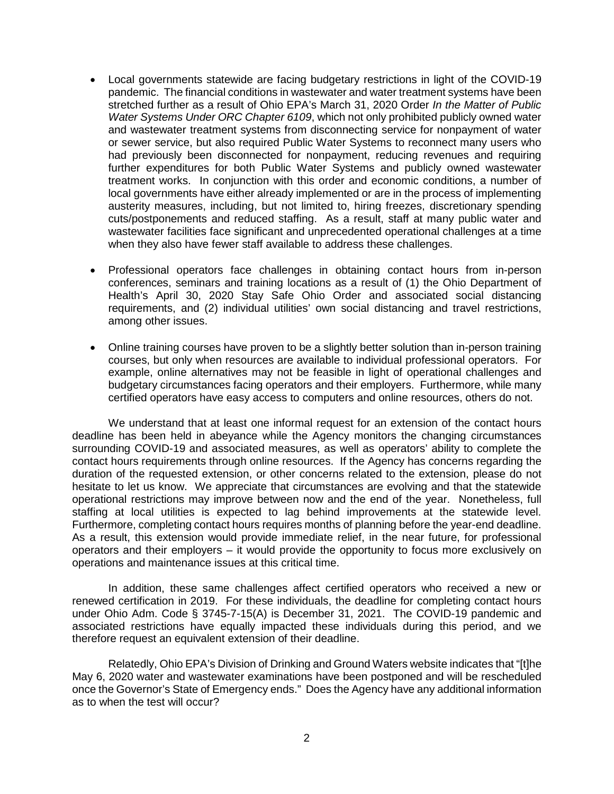- Local governments statewide are facing budgetary restrictions in light of the COVID-19 pandemic. The financial conditions in wastewater and water treatment systems have been stretched further as a result of Ohio EPA's March 31, 2020 Order *In the Matter of Public Water Systems Under ORC Chapter 6109*, which not only prohibited publicly owned water and wastewater treatment systems from disconnecting service for nonpayment of water or sewer service, but also required Public Water Systems to reconnect many users who had previously been disconnected for nonpayment, reducing revenues and requiring further expenditures for both Public Water Systems and publicly owned wastewater treatment works. In conjunction with this order and economic conditions, a number of local governments have either already implemented or are in the process of implementing austerity measures, including, but not limited to, hiring freezes, discretionary spending cuts/postponements and reduced staffing. As a result, staff at many public water and wastewater facilities face significant and unprecedented operational challenges at a time when they also have fewer staff available to address these challenges.
- Professional operators face challenges in obtaining contact hours from in-person conferences, seminars and training locations as a result of (1) the Ohio Department of Health's April 30, 2020 Stay Safe Ohio Order and associated social distancing requirements, and (2) individual utilities' own social distancing and travel restrictions, among other issues.
- Online training courses have proven to be a slightly better solution than in-person training courses, but only when resources are available to individual professional operators. For example, online alternatives may not be feasible in light of operational challenges and budgetary circumstances facing operators and their employers. Furthermore, while many certified operators have easy access to computers and online resources, others do not.

We understand that at least one informal request for an extension of the contact hours deadline has been held in abeyance while the Agency monitors the changing circumstances surrounding COVID-19 and associated measures, as well as operators' ability to complete the contact hours requirements through online resources. If the Agency has concerns regarding the duration of the requested extension, or other concerns related to the extension, please do not hesitate to let us know. We appreciate that circumstances are evolving and that the statewide operational restrictions may improve between now and the end of the year. Nonetheless, full staffing at local utilities is expected to lag behind improvements at the statewide level. Furthermore, completing contact hours requires months of planning before the year-end deadline. As a result, this extension would provide immediate relief, in the near future, for professional operators and their employers – it would provide the opportunity to focus more exclusively on operations and maintenance issues at this critical time.

In addition, these same challenges affect certified operators who received a new or renewed certification in 2019. For these individuals, the deadline for completing contact hours under Ohio Adm. Code § 3745-7-15(A) is December 31, 2021. The COVID-19 pandemic and associated restrictions have equally impacted these individuals during this period, and we therefore request an equivalent extension of their deadline.

Relatedly, Ohio EPA's Division of Drinking and Ground Waters website indicates that "[t]he May 6, 2020 water and wastewater examinations have been postponed and will be rescheduled once the Governor's State of Emergency ends." Does the Agency have any additional information as to when the test will occur?